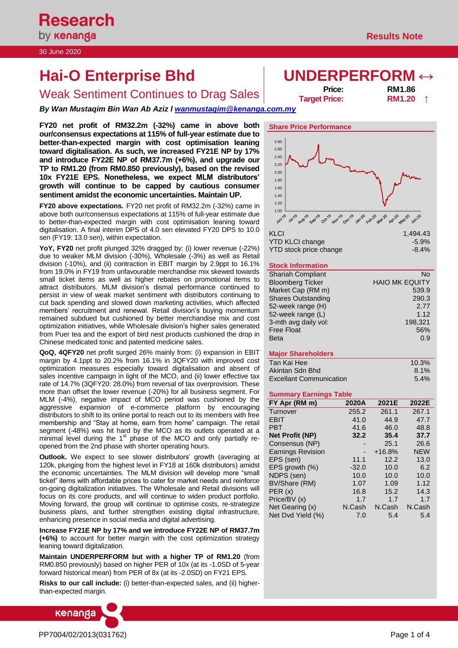# **Hai-O Enterprise Bhd UNDERPERFORM ↔**

# **Weak Sentiment Continues to Drag Sales Price: Price: RM1.86**<br>**RM1.20 RM1.20**

*By Wan Mustaqim Bin Wan Ab Aziz l [wanmustaqim@kenanga.com.my](mailto:wanmustaqim@kenanga.com.my)*

**FY20 net profit of RM32.2m (-32%) came in above both our/consensus expectations at 115% of full-year estimate due to better-than-expected margin with cost optimisation leaning toward digitalisation. As such, we increased FY21E NP by 17% and introduce FY22E NP of RM37.7m (+6%), and upgrade our TP to RM1.20 (from RM0.850 previously), based on the revised 10x FY21E EPS. Nonetheless, we expect MLM distributors' growth will continue to be capped by cautious consumer sentiment amidst the economic uncertainties. Maintain UP.**

**FY20 above expectations.** FY20 net profit of RM32.2m (-32%) came in above both our/consensus expectations at 115% of full-year estimate due to better-than-expected margin with cost optimisation leaning toward digitalisation. A final interim DPS of 4.0 sen elevated FY20 DPS to 10.0 sen (FY19: 13.0 sen), within expectation.

**YoY, FY20** net profit plunged 32% dragged by: (i) lower revenue (-22%) due to weaker MLM division (-30%), Wholesale (-3%) as well as Retail division (-10%), and (ii) contraction in EBIT margin by 2.9ppt to 16.1% from 19.0% in FY19 from unfavourable merchandise mix skewed towards small ticket items as well as higher rebates on promotional items to attract distributors. MLM division's dismal performance continued to persist in view of weak market sentiment with distributors continuing to cut back spending and slowed down marketing activities, which affected members' recruitment and renewal. Retail division's buying momentum remained subdued but cushioned by better merchandise mix and cost optimization initiatives, while Wholesale division's higher sales generated from Puer tea and the export of bird nest products cushioned the drop in Chinese medicated tonic and patented medicine sales.

**QoQ, 4QFY20** net profit surged 26% mainly from: (i) expansion in EBIT margin by 4.1ppt to 20.2% from 16.1% in 3QFY20 with improved cost optimization measures especially toward digitalisation and absent of sales incentive campaign in light of the MCO, and (ii) lower effective tax rate of 14.7% (3QFY20: 28.0%) from reversal of tax overprovision. These more than offset the lower revenue (-20%) for all business segment. For MLM (-4%), negative impact of MCO period was cushioned by the aggressive expansion of e-commerce platform by encouraging distributors to shift to its online portal to reach out to its members with free membership and "Stay at home, earn from home" campaign. The retail segment (-48%) was hit hard by the MCO as its outlets operated at a minimal level during the  $1<sup>st</sup>$  phase of the MCO and only partially reopened from the 2nd phase with shorter operating hours.

**Outlook.** We expect to see slower distributors' growth (averaging at 120k, plunging from the highest level in FY18 at 160k distributors) amidst the economic uncertainties. The MLM division will develop more "small ticket" items with affordable prices to cater for market needs and reinforce on-going digitalization initiatives. The Wholesale and Retail divisions will focus on its core products, and will continue to widen product portfolio. Moving forward, the group will continue to optimise costs, re-strategize business plans, and further strengthen existing digital infrastructure, enhancing presence in social media and digital advertising.

**Increase FY21E NP by 17% and we introduce FY22E NP of RM37.7m (+6%)** to account for better margin with the cost optimization strategy leaning toward digitalization.

**Maintain UNDERPERFORM but with a higher TP of RM1.20** (from RM0.850 previously) based on higher PER of 10x (at its -1.0SD of 5-year forward historical mean) from PER of 8x (at its -2.0SD) on FY21 EPS.

**Risks to our call include:** (i) better-than-expected sales, and (ii) higherthan-expected margin.



**Target Price:** 



| YTD KLCI change        | $-5.9%$  |
|------------------------|----------|
| YTD stock price change | $-8.4\%$ |

# **Stock Information**

| <b>Shariah Compliant</b>  | No                    |
|---------------------------|-----------------------|
| <b>Bloomberg Ticker</b>   | <b>HAIO MK EQUITY</b> |
| Market Cap (RM m)         | 539.9                 |
| <b>Shares Outstanding</b> | 290.3                 |
| 52-week range (H)         | 2.77                  |
| 52-week range (L)         | 1.12                  |
| 3-mth avg daily vol:      | 198,321               |
| <b>Free Float</b>         | 56%                   |
| <b>Beta</b>               | 0.9                   |
|                           |                       |

# **Major Shareholders**

| Tan Kai Hee                    | 10.3%   |
|--------------------------------|---------|
| Akintan Sdn Bhd                | $8.1\%$ |
| <b>Excellant Communication</b> | $5.4\%$ |

# **Summary Earnings Table**

| FY Apr (RM m)            | 2020A   | 2021E    | 2022E      |
|--------------------------|---------|----------|------------|
| Turnover                 | 255.2   | 261.1    | 267.1      |
| <b>EBIT</b>              | 41.0    | 44.9     | 47.7       |
| <b>PBT</b>               | 41.6    | 46.0     | 48.8       |
| <b>Net Profit (NP)</b>   | 32.2    | 35.4     | 37.7       |
| Consensus (NP)           |         | 25.1     | 26.6       |
| <b>Earnings Revision</b> |         | $+16.8%$ | <b>NEW</b> |
| EPS (sen)                | 11.1    | 12.2     | 13.0       |
| EPS growth (%)           | $-32.0$ | 10.0     | 6.2        |
| NDPS (sen)               | 10.0    | 10.0     | 10.0       |
| BV/Share (RM)            | 1.07    | 1.09     | 1.12       |
| PER(x)                   | 16.8    | 15.2     | 14.3       |
| Price/BV (x)             | 1.7     | 1.7      | 1.7        |
| Net Gearing (x)          | N.Cash  | N.Cash   | N.Cash     |
| Net Dvd Yield (%)        | 7.0     | 5.4      | 5.4        |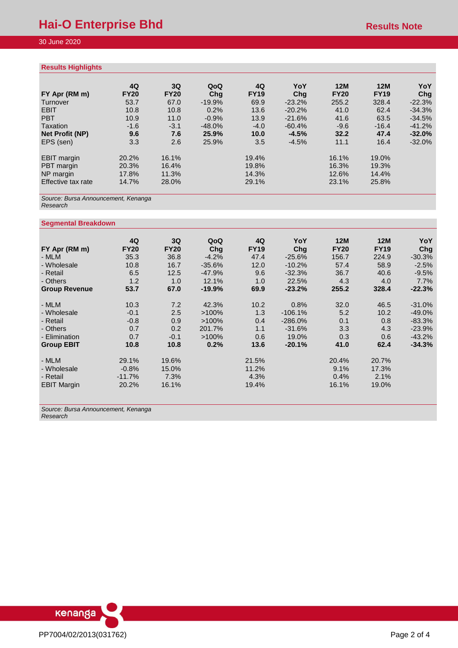# **Results Highlights**

|                    | 4Q          | 3Q          | QoQ      | 4Q          | YoY      | 12M         | 12M         | YoY      |
|--------------------|-------------|-------------|----------|-------------|----------|-------------|-------------|----------|
| FY Apr (RM m)      | <b>FY20</b> | <b>FY20</b> | Chq      | <b>FY19</b> | Chq      | <b>FY20</b> | <b>FY19</b> | Chq      |
| Turnover           | 53.7        | 67.0        | $-19.9%$ | 69.9        | $-23.2%$ | 255.2       | 328.4       | $-22.3%$ |
| <b>EBIT</b>        | 10.8        | 10.8        | 0.2%     | 13.6        | $-20.2%$ | 41.0        | 62.4        | $-34.3%$ |
| <b>PBT</b>         | 10.9        | 11.0        | $-0.9%$  | 13.9        | $-21.6%$ | 41.6        | 63.5        | $-34.5%$ |
| <b>Taxation</b>    | $-1.6$      | $-3.1$      | $-48.0%$ | $-4.0$      | $-60.4%$ | $-9.6$      | $-16.4$     | $-41.2%$ |
| Net Profit (NP)    | 9.6         | 7.6         | 25.9%    | 10.0        | $-4.5%$  | 32.2        | 47.4        | $-32.0%$ |
| EPS (sen)          | 3.3         | 2.6         | 25.9%    | 3.5         | $-4.5%$  | 11.1        | 16.4        | $-32.0%$ |
|                    |             |             |          |             |          |             |             |          |
| <b>EBIT</b> margin | 20.2%       | 16.1%       |          | 19.4%       |          | 16.1%       | 19.0%       |          |
| PBT margin         | 20.3%       | 16.4%       |          | 19.8%       |          | 16.3%       | 19.3%       |          |
| NP margin          | 17.8%       | 11.3%       |          | 14.3%       |          | 12.6%       | 14.4%       |          |
| Effective tax rate | 14.7%       | 28.0%       |          | 29.1%       |          | 23.1%       | 25.8%       |          |
|                    |             |             |          |             |          |             |             |          |

*Source: Bursa Announcement, Kenanga Research*

# **Segmental Breakdown**

|                      | 4Q          | 3Q          | QoQ      | 4Q          | YoY       | 12M         | <b>12M</b>  | YoY      |
|----------------------|-------------|-------------|----------|-------------|-----------|-------------|-------------|----------|
| FY Apr (RM m)        | <b>FY20</b> | <b>FY20</b> | Chg      | <b>FY19</b> | Chq       | <b>FY20</b> | <b>FY19</b> | Chg      |
| - MLM                | 35.3        | 36.8        | $-4.2%$  | 47.4        | $-25.6%$  | 156.7       | 224.9       | $-30.3%$ |
| - Wholesale          | 10.8        | 16.7        | $-35.6%$ | 12.0        | $-10.2%$  | 57.4        | 58.9        | $-2.5%$  |
| - Retail             | 6.5         | 12.5        | $-47.9%$ | 9.6         | $-32.3%$  | 36.7        | 40.6        | $-9.5%$  |
| - Others             | 1.2         | 1.0         | 12.1%    | 1.0         | 22.5%     | 4.3         | 4.0         | 7.7%     |
| <b>Group Revenue</b> | 53.7        | 67.0        | $-19.9%$ | 69.9        | $-23.2%$  | 255.2       | 328.4       | $-22.3%$ |
| - MLM                | 10.3        | 7.2         | 42.3%    | 10.2        | 0.8%      | 32.0        | 46.5        | $-31.0%$ |
| - Wholesale          | $-0.1$      | 2.5         | $>100\%$ | 1.3         | $-106.1%$ | 5.2         | 10.2        | $-49.0%$ |
| - Retail             | $-0.8$      | 0.9         | $>100\%$ | 0.4         | $-286.0%$ | 0.1         | 0.8         | $-83.3%$ |
| - Others             | 0.7         | 0.2         | 201.7%   | 1.1         | $-31.6%$  | 3.3         | 4.3         | $-23.9%$ |
| - Elimination        | 0.7         | $-0.1$      | $>100\%$ | 0.6         | 19.0%     | 0.3         | 0.6         | $-43.2%$ |
| <b>Group EBIT</b>    | 10.8        | 10.8        | 0.2%     | 13.6        | $-20.1%$  | 41.0        | 62.4        | $-34.3%$ |
| - MLM                | 29.1%       | 19.6%       |          | 21.5%       |           | 20.4%       | 20.7%       |          |
| - Wholesale          | $-0.8%$     | 15.0%       |          | 11.2%       |           | 9.1%        | 17.3%       |          |
| - Retail             | $-11.7%$    | 7.3%        |          | 4.3%        |           | 0.4%        | 2.1%        |          |
| <b>EBIT Margin</b>   | 20.2%       | 16.1%       |          | 19.4%       |           | 16.1%       | 19.0%       |          |

*Source: Bursa Announcement, Kenanga Research*

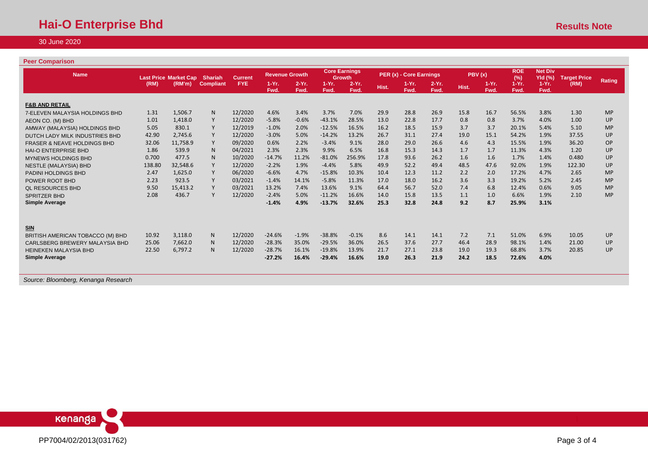# **Peer Comparison**

| <b>Name</b>                            |        | <b>Last Price Market Cap</b> | <b>Shariah</b>   | <b>Current</b> | <b>Revenue Growth</b> |                  |                 | <b>Core Earnings</b><br><b>Growth</b> |       | PER (x) - Core Earnings |                  | PBV(x) |                 | <b>ROE</b><br>(%) | <b>Net Div</b><br><b>YId (%)</b> | <b>Target Price</b> |           |
|----------------------------------------|--------|------------------------------|------------------|----------------|-----------------------|------------------|-----------------|---------------------------------------|-------|-------------------------|------------------|--------|-----------------|-------------------|----------------------------------|---------------------|-----------|
|                                        | (RM)   | (RM'm)                       | <b>Compliant</b> | <b>FYE</b>     | $1-Yr$ .<br>Fwd.      | $2-Yr$ .<br>Fwd. | $1-Yr.$<br>Fwd. | $2-Yr$ .<br>Fwd.                      | Hist. | $1-Yr$ .<br>Fwd.        | $2-Yr$ .<br>Fwd. | Hist.  | $1-Yr.$<br>Fwd. | $1-Yr$ .<br>Fwd.  | $1-Yr$ .<br>Fwd.                 | (RM)                | Rating    |
| <b>F&amp;B AND RETAIL</b>              |        |                              |                  |                |                       |                  |                 |                                       |       |                         |                  |        |                 |                   |                                  |                     |           |
| 7-ELEVEN MALAYSIA HOLDINGS BHD         | 1.31   | 1.506.7                      | N                | 12/2020        | 4.6%                  | 3.4%             | 3.7%            | 7.0%                                  | 29.9  | 28.8                    | 26.9             | 15.8   | 16.7            | 56.5%             | 3.8%                             | 1.30                | <b>MP</b> |
| AEON CO. (M) BHD                       | 1.01   | 1,418.0                      |                  | 12/2020        | $-5.8%$               | $-0.6%$          | $-43.1%$        | 28.5%                                 | 13.0  | 22.8                    | 17.7             | 0.8    | 0.8             | 3.7%              | 4.0%                             | 1.00                | UP        |
| AMWAY (MALAYSIA) HOLDINGS BHD          | 5.05   | 830.1                        |                  | 12/2019        | $-1.0%$               | 2.0%             | $-12.5%$        | 16.5%                                 | 16.2  | 18.5                    | 15.9             | 3.7    | 3.7             | 20.1%             | 5.4%                             | 5.10                | <b>MP</b> |
| DUTCH LADY MILK INDUSTRIES BHD         | 42.90  | 2.745.6                      |                  | 12/2020        | $-3.0%$               | 5.0%             | $-14.2%$        | 13.2%                                 | 26.7  | 31.1                    | 27.4             | 19.0   | 15.1            | 54.2%             | 1.9%                             | 37.55               | <b>UP</b> |
| <b>FRASER &amp; NEAVE HOLDINGS BHD</b> | 32.06  | 11,758.9                     |                  | 09/2020        | 0.6%                  | 2.2%             | $-3.4%$         | 9.1%                                  | 28.0  | 29.0                    | 26.6             | 4.6    | 4.3             | 15.5%             | 1.9%                             | 36.20               | <b>OP</b> |
| <b>HAI-O ENTERPRISE BHD</b>            | 1.86   | 539.9                        | N                | 04/2021        | 2.3%                  | 2.3%             | 9.9%            | 6.5%                                  | 16.8  | 15.3                    | 14.3             | 1.7    | 1.7             | 11.3%             | 4.3%                             | 1.20                | <b>UP</b> |
| <b>MYNEWS HOLDINGS BHD</b>             | 0.700  | 477.5                        | N                | 10/2020        | $-14.7%$              | 11.2%            | $-81.0%$        | 256.9%                                | 17.8  | 93.6                    | 26.2             | 1.6    | 1.6             | 1.7%              | 1.4%                             | 0.480               | UP        |
| <b>NESTLE (MALAYSIA) BHD</b>           | 138.80 | 32,548.6                     |                  | 12/2020        | $-2.2%$               | 1.9%             | $-4.4%$         | 5.8%                                  | 49.9  | 52.2                    | 49.4             | 48.5   | 47.6            | 92.0%             | 1.9%                             | 122.30              | UP        |
| <b>PADINI HOLDINGS BHD</b>             | 2.47   | 1,625.0                      |                  | 06/2020        | $-6.6%$               | 4.7%             | $-15.8%$        | 10.3%                                 | 10.4  | 12.3                    | 11.2             | 2.2    | 2.0             | 17.2%             | 4.7%                             | 2.65                | <b>MP</b> |
| POWER ROOT BHD                         | 2.23   | 923.5                        |                  | 03/2021        | $-1.4%$               | 14.1%            | $-5.8%$         | 11.3%                                 | 17.0  | 18.0                    | 16.2             | 3.6    | 3.3             | 19.2%             | 5.2%                             | 2.45                | <b>MP</b> |
| <b>QL RESOURCES BHD</b>                | 9.50   | 15.413.2                     |                  | 03/2021        | 13.2%                 | 7.4%             | 13.6%           | 9.1%                                  | 64.4  | 56.7                    | 52.0             | 7.4    | 6.8             | 12.4%             | 0.6%                             | 9.05                | <b>MP</b> |
| <b>SPRITZER BHD</b>                    | 2.08   | 436.7                        |                  | 12/2020        | $-2.4%$               | 5.0%             | $-11.2%$        | 16.6%                                 | 14.0  | 15.8                    | 13.5             | 1.1    | 1.0             | 6.6%              | 1.9%                             | 2.10                | <b>MP</b> |
| <b>Simple Average</b>                  |        |                              |                  |                | $-1.4%$               | 4.9%             | $-13.7%$        | 32.6%                                 | 25.3  | 32.8                    | 24.8             | 9.2    | 8.7             | 25.9%             | 3.1%                             |                     |           |
|                                        |        |                              |                  |                |                       |                  |                 |                                       |       |                         |                  |        |                 |                   |                                  |                     |           |
|                                        |        |                              |                  |                |                       |                  |                 |                                       |       |                         |                  |        |                 |                   |                                  |                     |           |
| <b>SIN</b>                             |        |                              |                  |                |                       |                  |                 |                                       |       |                         |                  |        |                 |                   |                                  |                     |           |
| BRITISH AMERICAN TOBACCO (M) BHD       | 10.92  | 3.118.0                      | N                | 12/2020        | $-24.6%$              | $-1.9%$          | $-38.8%$        | $-0.1%$                               | 8.6   | 14.1                    | 14.1             | 7.2    | 7.1             | 51.0%             | 6.9%                             | 10.05               | <b>UP</b> |
| CARLSBERG BREWERY MALAYSIA BHD         | 25.06  | 7,662.0                      | <sup>N</sup>     | 12/2020        | $-28.3%$              | 35.0%            | $-29.5%$        | 36.0%                                 | 26.5  | 37.6                    | 27.7             | 46.4   | 28.9            | 98.1%             | 1.4%                             | 21.00               | UP        |
| <b>HEINEKEN MALAYSIA BHD</b>           | 22.50  | 6,797.2                      | N                | 12/2020        | $-28.7%$              | 16.1%            | $-19.8%$        | 13.9%                                 | 21.7  | 27.1                    | 23.8             | 19.0   | 19.3            | 68.8%             | 3.7%                             | 20.85               | UP        |
| <b>Simple Average</b>                  |        |                              |                  |                | $-27.2%$              | 16.4%            | $-29.4%$        | 16.6%                                 | 19.0  | 26.3                    | 21.9             | 24.2   | 18.5            | 72.6%             | 4.0%                             |                     |           |
|                                        |        |                              |                  |                |                       |                  |                 |                                       |       |                         |                  |        |                 |                   |                                  |                     |           |

*Source: Bloomberg, Kenanga Research*